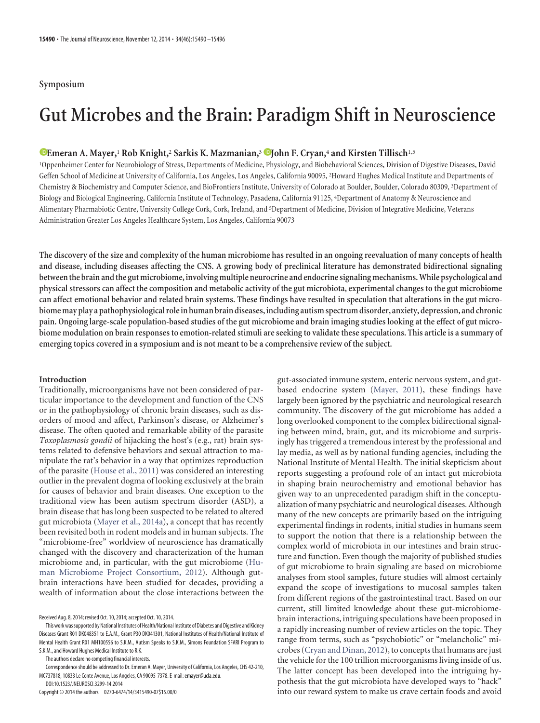# **Symposium**

# **Gut Microbes and the Brain: Paradigm Shift in Neuroscience**

#### **XEmeran A. Mayer,**<sup>1</sup> **Rob Knight,**<sup>2</sup> **Sarkis K. Mazmanian,**<sup>3</sup> **XJohn F. Cryan,**<sup>4</sup> **and Kirsten Tillisch**1,5

1 Oppenheimer Center for Neurobiology of Stress, Departments of Medicine, Physiology, and Biobehavioral Sciences, Division of Digestive Diseases, David Geffen School of Medicine at University of California, Los Angeles, Los Angeles, California 90095, <sup>2</sup> Howard Hughes Medical Institute and Departments of Chemistry & Biochemistry and Computer Science, and BioFrontiers Institute, University of Colorado at Boulder, Boulder, Colorado 80309, <sup>3</sup> Department of Biology and Biological Engineering, California Institute of Technology, Pasadena, California 91125, <sup>4</sup> Department of Anatomy & Neuroscience and Alimentary Pharmabiotic Centre, University College Cork, Cork, Ireland, and <sup>5</sup>Department of Medicine, Division of Integrative Medicine, Veterans Administration Greater Los Angeles Healthcare System, Los Angeles, California 90073

**The discovery of the size and complexity of the human microbiome has resulted in an ongoing reevaluation of many concepts of health and disease, including diseases affecting the CNS. A growing body of preclinical literature has demonstrated bidirectional signaling** between the brain and the gut microbiome, involving multiple neurocrine and endocrine signaling mechanisms. While psychological and **physical stressors can affect the composition and metabolic activity of the gut microbiota, experimental changes to the gut microbiome can affect emotional behavior and related brain systems. These findings have resulted in speculation that alterations in the gut microbiome may play a pathophysiological rolein human brain diseases,including autism spectrum disorder, anxiety, depression, and chronic pain. Ongoing large-scale population-based studies of the gut microbiome and brain imaging studies looking at the effect of gut microbiome modulation on brain responses to emotion-related stimuli are seeking to validate these speculations. This article is a summary of emerging topics covered in a symposium and is not meant to be a comprehensive review of the subject.**

### **Introduction**

Traditionally, microorganisms have not been considered of particular importance to the development and function of the CNS or in the pathophysiology of chronic brain diseases, such as disorders of mood and affect, Parkinson's disease, or Alzheimer's disease. The often quoted and remarkable ability of the parasite *Toxoplasmosis gondii* of hijacking the host's (e.g., rat) brain systems related to defensive behaviors and sexual attraction to manipulate the rat's behavior in a way that optimizes reproduction of the parasite [\(House et al., 2011\)](#page-5-0) was considered an interesting outlier in the prevalent dogma of looking exclusively at the brain for causes of behavior and brain diseases. One exception to the traditional view has been autism spectrum disorder (ASD), a brain disease that has long been suspected to be related to altered gut microbiota [\(Mayer et al., 2014a\)](#page-6-0), a concept that has recently been revisited both in rodent models and in human subjects. The "microbiome-free" worldview of neuroscience has dramatically changed with the discovery and characterization of the human microbiome and, in particular, with the gut microbiome [\(Hu](#page-6-1)[man Microbiome Project Consortium, 2012\)](#page-6-1). Although gutbrain interactions have been studied for decades, providing a wealth of information about the close interactions between the

DOI:10.1523/JNEUROSCI.3299-14.2014 Copyright © 2014 the authors 0270-6474/14/3415490-07\$15.00/0

gut-associated immune system, enteric nervous system, and gutbased endocrine system [\(Mayer, 2011\)](#page-6-2), these findings have largely been ignored by the psychiatric and neurological research community. The discovery of the gut microbiome has added a long overlooked component to the complex bidirectional signaling between mind, brain, gut, and its microbiome and surprisingly has triggered a tremendous interest by the professional and lay media, as well as by national funding agencies, including the National Institute of Mental Health. The initial skepticism about reports suggesting a profound role of an intact gut microbiota in shaping brain neurochemistry and emotional behavior has given way to an unprecedented paradigm shift in the conceptualization of many psychiatric and neurological diseases. Although many of the new concepts are primarily based on the intriguing experimental findings in rodents, initial studies in humans seem to support the notion that there is a relationship between the complex world of microbiota in our intestines and brain structure and function. Even though the majority of published studies of gut microbiome to brain signaling are based on microbiome analyses from stool samples, future studies will almost certainly expand the scope of investigations to mucosal samples taken from different regions of the gastrointestinal tract. Based on our current, still limited knowledge about these gut-microbiomebrain interactions, intriguing speculations have been proposed in a rapidly increasing number of review articles on the topic. They range from terms, such as "psychobiotic" or "melancholic" microbes [\(Cryan and Dinan, 2012\)](#page-5-1), to concepts that humans are just the vehicle for the 100 trillion microorganisms living inside of us. The latter concept has been developed into the intriguing hypothesis that the gut microbiota have developed ways to "hack" into our reward system to make us crave certain foods and avoid

Received Aug. 8, 2014; revised Oct. 10, 2014; accepted Oct. 10, 2014.

This work wassupported byNational Institutes of Health/National Institute of Diabetes and Digestive and Kidney Diseases Grant R01 DK048351 to E.A.M., Grant P30 DK041301, National Institutes of Health/National Institute of Mental Health Grant R01 MH100556 to S.K.M., Autism Speaks to S.K.M., Simons Foundation SFARI Program to S.K.M., and Howard Hughes Medical Institute to R.K.

The authors declare no competing financial interests.

Correspondence should be addressed to Dr. Emeran A. Mayer, University of California, Los Angeles, CHS 42-210, MC737818, 10833 Le Conte Avenue, Los Angeles, CA 90095-7378. E-mail:emayer@ucla.edu.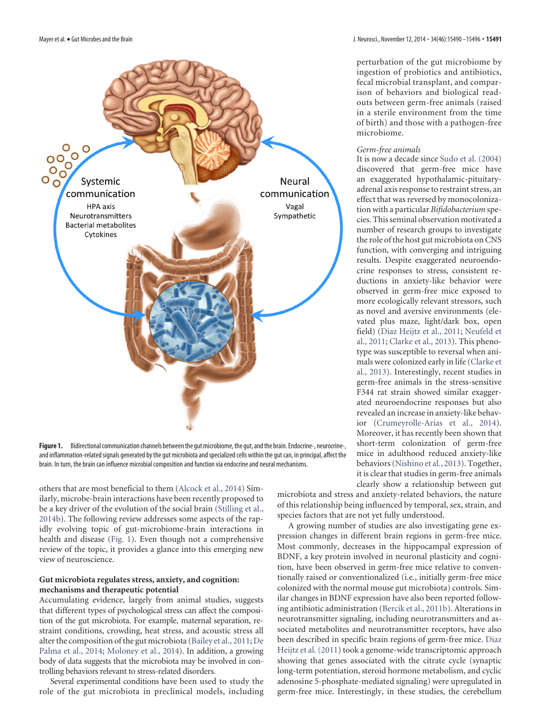

<span id="page-1-0"></span>Figure 1. Bidirectional communication channels between the gut microbiome, the gut, and the brain. Endocrine-, neurocrine-, and inflammation-related signals generated by the gut microbiota and specialized cells within the gut can, in principal, affect the brain. In turn, the brain can influence microbial composition and function via endocrine and neural mechanisms.

others that are most beneficial to them [\(Alcock et al., 2014\)](#page-5-2) Similarly, microbe-brain interactions have been recently proposed to be a key driver of the evolution of the social brain [\(Stilling et al.,](#page-6-3) [2014b\)](#page-6-3). The following review addresses some aspects of the rapidly evolving topic of gut-microbiome-brain interactions in health and disease [\(Fig. 1\)](#page-1-0). Even though not a comprehensive review of the topic, it provides a glance into this emerging new view of neuroscience.

# **Gut microbiota regulates stress, anxiety, and cognition: mechanisms and therapeutic potential**

Accumulating evidence, largely from animal studies, suggests that different types of psychological stress can affect the composition of the gut microbiota. For example, maternal separation, restraint conditions, crowding, heat stress, and acoustic stress all alter the composition of the gut microbiota [\(Bailey et al., 2011;](#page-5-3) [De](#page-5-4) [Palma et al., 2014;](#page-5-4) [Moloney et al.,](#page-6-4) 2014). In addition, a growing body of data suggests that the microbiota may be involved in controlling behaviors relevant to stress-related disorders.

Several experimental conditions have been used to study the role of the gut microbiota in preclinical models, including perturbation of the gut microbiome by ingestion of probiotics and antibiotics, fecal microbial transplant, and comparison of behaviors and biological readouts between germ-free animals (raised in a sterile environment from the time of birth) and those with a pathogen-free microbiome.

#### *Germ-free animals*

It is now a decade since [Sudo et al. \(2004\)](#page-6-5) discovered that germ-free mice have an exaggerated hypothalamic-pituitaryadrenal axis response to restraint stress, an effect that was reversed by monocolonization with a particular *Bifidobacterium* species. This seminal observation motivated a number of research groups to investigate the role of the host gut microbiota on CNS function, with converging and intriguing results. Despite exaggerated neuroendocrine responses to stress, consistent reductions in anxiety-like behavior were observed in germ-free mice exposed to more ecologically relevant stressors, such as novel and aversive environments (elevated plus maze, light/dark box, open field) [\(Diaz Heijtz et al., 2011;](#page-5-5) [Neufeld et](#page-6-6) [al., 2011;](#page-6-6) [Clarke et al., 2013\)](#page-5-6). This phenotype was susceptible to reversal when animals were colonized early in life [\(Clarke et](#page-5-6) [al., 2013\)](#page-5-6). Interestingly, recent studies in germ-free animals in the stress-sensitive F344 rat strain showed similar exaggerated neuroendocrine responses but also revealed an increase in anxiety-like behavior [\(Crumeyrolle-Arias et al., 2014\)](#page-5-7). Moreover, it has recently been shown that short-term colonization of germ-free mice in adulthood reduced anxiety-like behaviors [\(Nishino et al., 2013\)](#page-6-7). Together, it is clear that studies in germ-free animals clearly show a relationship between gut

microbiota and stress and anxiety-related behaviors, the nature of this relationship being influenced by temporal, sex, strain, and species factors that are not yet fully understood.

A growing number of studies are also investigating gene expression changes in different brain regions in germ-free mice. Most commonly, decreases in the hippocampal expression of BDNF, a key protein involved in neuronal plasticity and cognition, have been observed in germ-free mice relative to conventionally raised or conventionalized (i.e., initially germ-free mice colonized with the normal mouse gut microbiota) controls. Similar changes in BDNF expression have also been reported following antibiotic administration [\(Bercik et al., 2011b\)](#page-5-8). Alterations in neurotransmitter signaling, including neurotransmitters and associated metabolites and neurotransmitter receptors, have also been described in specific brain regions of germ-free mice. [Diaz](#page-5-5) [Heijtz et al. \(2011\)](#page-5-5) took a genome-wide transcriptomic approach showing that genes associated with the citrate cycle (synaptic long-term potentiation, steroid hormone metabolism, and cyclic adenosine 5-phosphate-mediated signaling) were upregulated in germ-free mice. Interestingly, in these studies, the cerebellum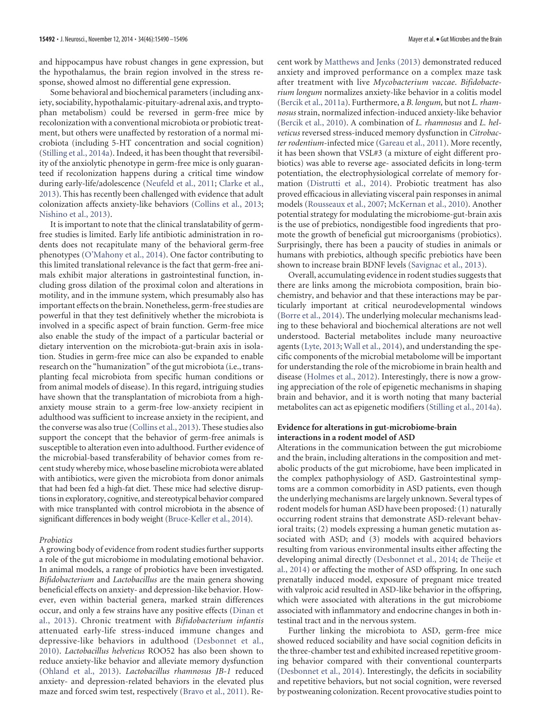and hippocampus have robust changes in gene expression, but the hypothalamus, the brain region involved in the stress response, showed almost no differential gene expression.

Some behavioral and biochemical parameters (including anxiety, sociability, hypothalamic-pituitary-adrenal axis, and tryptophan metabolism) could be reversed in germ-free mice by recolonization with a conventional microbiota or probiotic treatment, but others were unaffected by restoration of a normal microbiota (including 5-HT concentration and social cognition) [\(Stilling et al., 2014a\)](#page-6-8). Indeed, it has been thought that reversibility of the anxiolytic phenotype in germ-free mice is only guaranteed if recolonization happens during a critical time window during early-life/adolescence [\(Neufeld et al., 2011;](#page-6-6) [Clarke et al.,](#page-5-6) [2013\)](#page-5-6). This has recently been challenged with evidence that adult colonization affects anxiety-like behaviors [\(Collins et al., 2013;](#page-5-9) [Nishino et al., 2013\)](#page-6-7).

It is important to note that the clinical translatability of germfree studies is limited. Early life antibiotic administration in rodents does not recapitulate many of the behavioral germ-free phenotypes [\(O'Mahony et al., 2014\)](#page-6-9). One factor contributing to this limited translational relevance is the fact that germ-free animals exhibit major alterations in gastrointestinal function, including gross dilation of the proximal colon and alterations in motility, and in the immune system, which presumably also has important effects on the brain. Nonetheless, germ-free studies are powerful in that they test definitively whether the microbiota is involved in a specific aspect of brain function. Germ-free mice also enable the study of the impact of a particular bacterial or dietary intervention on the microbiota-gut-brain axis in isolation. Studies in germ-free mice can also be expanded to enable research on the "humanization" of the gut microbiota (i.e., transplanting fecal microbiota from specific human conditions or from animal models of disease). In this regard, intriguing studies have shown that the transplantation of microbiota from a highanxiety mouse strain to a germ-free low-anxiety recipient in adulthood was sufficient to increase anxiety in the recipient, and the converse was also true [\(Collins et al., 2013\)](#page-5-9). These studies also support the concept that the behavior of germ-free animals is susceptible to alteration even into adulthood. Further evidence of the microbial-based transferability of behavior comes from recent study whereby mice, whose baseline microbiota were ablated with antibiotics, were given the microbiota from donor animals that had been fed a high-fat diet. These mice had selective disruptions in exploratory, cognitive, and stereotypical behavior compared with mice transplanted with control microbiota in the absence of significant differences in body weight [\(Bruce-Keller et al., 2014\)](#page-5-10).

#### *Probiotics*

A growing body of evidence from rodent studies further supports a role of the gut microbiome in modulating emotional behavior. In animal models, a range of probiotics have been investigated. *Bifidobacterium* and *Lactobacillus* are the main genera showing beneficial effects on anxiety- and depression-like behavior. However, even within bacterial genera, marked strain differences occur, and only a few strains have any positive effects [\(Dinan et](#page-5-11) [al., 2013\)](#page-5-11). Chronic treatment with *Bifidobacterium infantis* attenuated early-life stress-induced immune changes and depressive-like behaviors in adulthood [\(Desbonnet et al.,](#page-5-12) [2010\)](#page-5-12). *Lactobacillus helveticus* ROO52 has also been shown to reduce anxiety-like behavior and alleviate memory dysfunction [\(Ohland et al., 2013\)](#page-6-10). *Lactobacillus rhamnosus JB-1* reduced anxiety- and depression-related behaviors in the elevated plus maze and forced swim test, respectively [\(Bravo et al., 2011\)](#page-5-13). Reanxiety and improved performance on a complex maze task after treatment with live *Mycobacterium vaccae*. *Bifidobacterium longum* normalizes anxiety-like behavior in a colitis model [\(Bercik et al., 2011a\)](#page-5-14). Furthermore, a *B. longum,* but not *L. rhamnosus* strain, normalized infection-induced anxiety-like behavior [\(Bercik et al., 2010\)](#page-5-15). A combination of *L. rhamnosus* and *L. helveticus* reversed stress-induced memory dysfunction in *Citrobacter rodentium*-infected mice [\(Gareau et al., 2011\)](#page-5-16). More recently, it has been shown that VSL#3 (a mixture of eight different probiotics) was able to reverse age- associated deficits in long-term potentiation, the electrophysiological correlate of memory formation [\(Distrutti et al., 2014\)](#page-5-17). Probiotic treatment has also proved efficacious in alleviating visceral pain responses in animal models [\(Rousseaux et al., 2007;](#page-6-12) [McKernan et al., 2010\)](#page-6-13). Another potential strategy for modulating the microbiome-gut-brain axis is the use of prebiotics, nondigestible food ingredients that promote the growth of beneficial gut microorganisms (probiotics). Surprisingly, there has been a paucity of studies in animals or humans with prebiotics, although specific prebiotics have been shown to increase brain BDNF levels [\(Savignac et al., 2013\)](#page-6-14).

Overall, accumulating evidence in rodent studies suggests that there are links among the microbiota composition, brain biochemistry, and behavior and that these interactions may be particularly important at critical neurodevelopmental windows [\(Borre et al., 2014\)](#page-5-18). The underlying molecular mechanisms leading to these behavioral and biochemical alterations are not well understood. Bacterial metabolites include many neuroactive agents [\(Lyte, 2013;](#page-6-15) [Wall et al., 2014\)](#page-6-16), and understanding the specific components of the microbial metabolome will be important for understanding the role of the microbiome in brain health and disease [\(Holmes et al., 2012\)](#page-5-19). Interestingly, there is now a growing appreciation of the role of epigenetic mechanisms in shaping brain and behavior, and it is worth noting that many bacterial metabolites can act as epigenetic modifiers [\(Stilling et al., 2014a\)](#page-6-8).

# **Evidence for alterations in gut-microbiome-brain interactions in a rodent model of ASD**

Alterations in the communication between the gut microbiome and the brain, including alterations in the composition and metabolic products of the gut microbiome, have been implicated in the complex pathophysiology of ASD. Gastrointestinal symptoms are a common comorbidity in ASD patients, even though the underlying mechanisms are largely unknown. Several types of rodent models for human ASD have been proposed: (1) naturally occurring rodent strains that demonstrate ASD-relevant behavioral traits; (2) models expressing a human genetic mutation associated with ASD; and (3) models with acquired behaviors resulting from various environmental insults either affecting the developing animal directly [\(Desbonnet et al., 2014;](#page-5-20) [de Theije et](#page-5-21) [al., 2014\)](#page-5-21) or affecting the mother of ASD offspring. In one such prenatally induced model, exposure of pregnant mice treated with valproic acid resulted in ASD-like behavior in the offspring, which were associated with alterations in the gut microbiome associated with inflammatory and endocrine changes in both intestinal tract and in the nervous system.

Further linking the microbiota to ASD, germ-free mice showed reduced sociability and have social cognition deficits in the three-chamber test and exhibited increased repetitive grooming behavior compared with their conventional counterparts [\(Desbonnet et al., 2014\)](#page-5-20). Interestingly, the deficits in sociability and repetitive behaviors, but not social cognition, were reversed by postweaning colonization. Recent provocative studies point to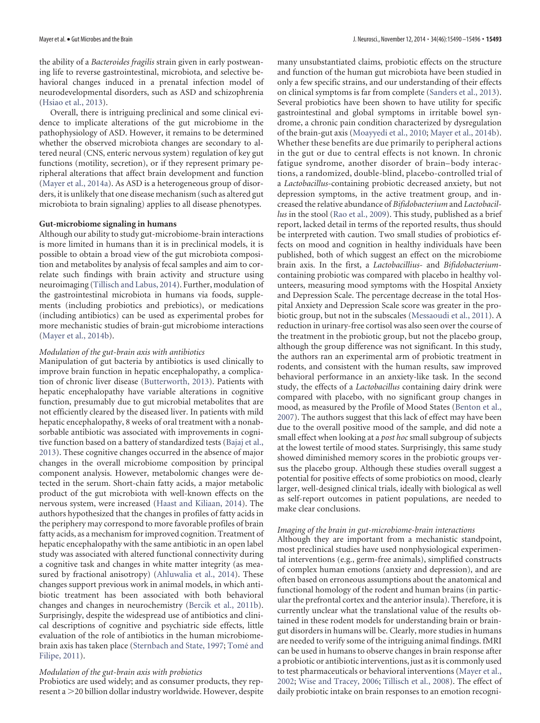the ability of a *Bacteroides fragilis* strain given in early postweaning life to reverse gastrointestinal, microbiota, and selective behavioral changes induced in a prenatal infection model of neurodevelopmental disorders, such as ASD and schizophrenia [\(Hsiao et al., 2013\)](#page-6-17).

Overall, there is intriguing preclinical and some clinical evidence to implicate alterations of the gut microbiome in the pathophysiology of ASD. However, it remains to be determined whether the observed microbiota changes are secondary to altered neural (CNS, enteric nervous system) regulation of key gut functions (motility, secretion), or if they represent primary peripheral alterations that affect brain development and function [\(Mayer et al., 2014a\)](#page-6-0). As ASD is a heterogeneous group of disorders, it is unlikely that one disease mechanism (such as altered gut microbiota to brain signaling) applies to all disease phenotypes.

#### **Gut-microbiome signaling in humans**

Although our ability to study gut-microbiome-brain interactions is more limited in humans than it is in preclinical models, it is possible to obtain a broad view of the gut microbiota composition and metabolites by analysis of fecal samples and aim to correlate such findings with brain activity and structure using neuroimaging [\(Tillisch and Labus, 2014\)](#page-6-18). Further, modulation of the gastrointestinal microbiota in humans via foods, supplements (including probiotics and prebiotics), or medications (including antibiotics) can be used as experimental probes for more mechanistic studies of brain-gut microbiome interactions [\(Mayer et al., 2014b\)](#page-6-19).

#### *Modulation of the gut-brain axis with antibiotics*

Manipulation of gut bacteria by antibiotics is used clinically to improve brain function in hepatic encephalopathy, a complication of chronic liver disease [\(Butterworth, 2013\)](#page-5-22). Patients with hepatic encephalopathy have variable alterations in cognitive function, presumably due to gut microbial metabolites that are not efficiently cleared by the diseased liver. In patients with mild hepatic encephalopathy, 8 weeks of oral treatment with a nonabsorbable antibiotic was associated with improvements in cognitive function based on a battery of standardized tests [\(Bajaj et al.,](#page-5-23) [2013\)](#page-5-23). These cognitive changes occurred in the absence of major changes in the overall microbiome composition by principal component analysis. However, metabolomic changes were detected in the serum. Short-chain fatty acids, a major metabolic product of the gut microbiota with well-known effects on the nervous system, were increased [\(Haast and Kiliaan, 2014\)](#page-5-24). The authors hypothesized that the changes in profiles of fatty acids in the periphery may correspond to more favorable profiles of brain fatty acids, as a mechanism for improved cognition. Treatment of hepatic encephalopathy with the same antibiotic in an open label study was associated with altered functional connectivity during a cognitive task and changes in white matter integrity (as measured by fractional anisotropy) [\(Ahluwalia et al., 2014\)](#page-5-25). These changes support previous work in animal models, in which antibiotic treatment has been associated with both behavioral changes and changes in neurochemistry [\(Bercik et al., 2011b\)](#page-5-8). Surprisingly, despite the widespread use of antibiotics and clinical descriptions of cognitive and psychiatric side effects, little evaluation of the role of antibiotics in the human microbiome-brain axis has taken place [\(Sternbach and State, 1997;](#page-6-20) Tomé and [Filipe, 2011\)](#page-6-21).

#### *Modulation of the gut-brain axis with probiotics*

Probiotics are used widely; and as consumer products, they represent a >20 billion dollar industry worldwide. However, despite many unsubstantiated claims, probiotic effects on the structure and function of the human gut microbiota have been studied in only a few specific strains, and our understanding of their effects on clinical symptoms is far from complete [\(Sanders et al., 2013\)](#page-6-22). Several probiotics have been shown to have utility for specific gastrointestinal and global symptoms in irritable bowel syndrome, a chronic pain condition characterized by dysregulation of the brain-gut axis [\(Moayyedi et al., 2010;](#page-6-23) [Mayer et al., 2014b\)](#page-6-19). Whether these benefits are due primarily to peripheral actions in the gut or due to central effects is not known. In chronic fatigue syndrome, another disorder of brain– body interactions, a randomized, double-blind, placebo-controlled trial of a *Lactobacillus*-containing probiotic decreased anxiety, but not depression symptoms, in the active treatment group, and increased the relative abundance of *Bifidobacterium* and *Lactobacillus* in the stool [\(Rao et al., 2009\)](#page-6-24). This study, published as a brief report, lacked detail in terms of the reported results, thus should be interpreted with caution. Two small studies of probiotics effects on mood and cognition in healthy individuals have been published, both of which suggest an effect on the microbiome brain axis. In the first, a *Lactobacillius-* and *Bifidobacterium*containing probiotic was compared with placebo in healthy volunteers, measuring mood symptoms with the Hospital Anxiety and Depression Scale. The percentage decrease in the total Hospital Anxiety and Depression Scale score was greater in the probiotic group, but not in the subscales [\(Messaoudi et al., 2011\)](#page-6-25). A reduction in urinary-free cortisol was also seen over the course of the treatment in the probiotic group, but not the placebo group, although the group difference was not significant. In this study, the authors ran an experimental arm of probiotic treatment in rodents, and consistent with the human results, saw improved behavioral performance in an anxiety-like task. In the second study, the effects of a *Lactobacillus* containing dairy drink were compared with placebo, with no significant group changes in mood, as measured by the Profile of Mood States [\(Benton et al.,](#page-5-26) [2007\)](#page-5-26). The authors suggest that this lack of effect may have been due to the overall positive mood of the sample, and did note a small effect when looking at a *post hoc* small subgroup of subjects at the lowest tertile of mood states. Surprisingly, this same study showed diminished memory scores in the probiotic groups versus the placebo group. Although these studies overall suggest a potential for positive effects of some probiotics on mood, clearly larger, well-designed clinical trials, ideally with biological as well as self-report outcomes in patient populations, are needed to make clear conclusions.

#### *Imaging of the brain in gut-microbiome-brain interactions*

Although they are important from a mechanistic standpoint, most preclinical studies have used nonphysiological experimental interventions (e.g., germ-free animals), simplified constructs of complex human emotions (anxiety and depression), and are often based on erroneous assumptions about the anatomical and functional homology of the rodent and human brains (in particular the prefrontal cortex and the anterior insula). Therefore, it is currently unclear what the translational value of the results obtained in these rodent models for understanding brain or braingut disorders in humans will be. Clearly, more studies in humans are needed to verify some of the intriguing animal findings. fMRI can be used in humans to observe changes in brain response after a probiotic or antibiotic interventions, just as it is commonly used to test pharmaceuticals or behavioral interventions [\(Mayer et al.,](#page-6-26) [2002;](#page-6-26) [Wise and Tracey, 2006;](#page-6-27) [Tillisch et al., 2008\)](#page-6-28). The effect of daily probiotic intake on brain responses to an emotion recogni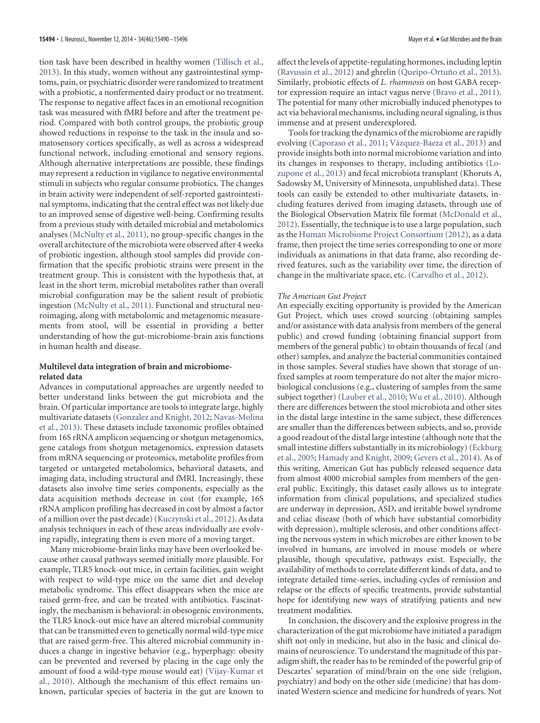tion task have been described in healthy women [\(Tillisch et al.,](#page-6-29) [2013\)](#page-6-29). In this study, women without any gastrointestinal symptoms, pain, or psychiatric disorder were randomized to treatment with a probiotic, a nonfermented dairy product or no treatment. The response to negative affect faces in an emotional recognition task was measured with fMRI before and after the treatment period. Compared with both control groups, the probiotic group showed reductions in response to the task in the insula and somatosensory cortices specifically, as well as across a widespread functional network, including emotional and sensory regions. Although alternative interpretations are possible, these findings may represent a reduction in vigilance to negative environmental stimuli in subjects who regular consume probiotics. The changes in brain activity were independent of self-reported gastrointestinal symptoms, indicating that the central effect was not likely due to an improved sense of digestive well-being. Confirming results from a previous study with detailed microbial and metabolomics analyses [\(McNulty et al., 2011\)](#page-6-30), no group-specific changes in the overall architecture of the microbiota were observed after 4 weeks of probiotic ingestion, although stool samples did provide confirmation that the specific probiotic strains were present in the treatment group. This is consistent with the hypothesis that, at least in the short term, microbial metabolites rather than overall microbial configuration may be the salient result of probiotic ingestion [\(McNulty et al., 2011\)](#page-6-30). Functional and structural neuroimaging, along with metabolomic and metagenomic measurements from stool, will be essential in providing a better understanding of how the gut-microbiome-brain axis functions in human health and disease.

# **Multilevel data integration of brain and microbiomerelated data**

Advances in computational approaches are urgently needed to better understand links between the gut microbiota and the brain. Of particular importance are tools to integrate large, highly multivariate datasets [\(Gonzalez and Knight, 2012;](#page-5-27) [Navas-Molina](#page-6-31) [et al., 2013\)](#page-6-31). These datasets include taxonomic profiles obtained from 16S rRNA amplicon sequencing or shotgun metagenomics, gene catalogs from shotgun metagenomics, expression datasets from mRNA sequencing or proteomics, metabolite profiles from targeted or untargeted metabolomics, behavioral datasets, and imaging data, including structural and fMRI. Increasingly, these datasets also involve time series components, especially as the data acquisition methods decrease in cost (for example, 16S rRNA amplicon profiling has decreased in cost by almost a factor of a million over the past decade) [\(Kuczynski et al., 2012\)](#page-6-32). As data analysis techniques in each of these areas individually are evolving rapidly, integrating them is even more of a moving target.

Many microbiome-brain links may have been overlooked because other causal pathways seemed initially more plausible. For example, TLR5 knock-out mice, in certain facilities, gain weight with respect to wild-type mice on the same diet and develop metabolic syndrome. This effect disappears when the mice are raised germ-free, and can be treated with antibiotics. Fascinatingly, the mechanism is behavioral: in obesogenic environments, the TLR5 knock-out mice have an altered microbial community that can be transmitted even to genetically normal wild-type mice that are raised germ-free. This altered microbial community induces a change in ingestive behavior (e.g., hyperphagy: obesity can be prevented and reversed by placing in the cage only the amount of food a wild-type mouse would eat) [\(Vijay-Kumar et](#page-6-33) [al., 2010\)](#page-6-33). Although the mechanism of this effect remains unknown, particular species of bacteria in the gut are known to

affect the levels of appetite-regulating hormones, including leptin [\(Ravussin et al., 2012\)](#page-6-34) and ghrelin (Queipo-Ortuño et al., 2013). Similarly, probiotic effects of *L. rhamnosis* on host GABA receptor expression require an intact vagus nerve [\(Bravo et al., 2011\)](#page-5-13). The potential for many other microbially induced phenotypes to act via behavioral mechanisms, including neural signaling, is thus immense and at present underexplored.

Tools for tracking the dynamics of the microbiome are rapidly evolving [\(Caporaso et al., 2011;](#page-5-28) Vázquez-Baeza et al., 2013) and provide insights both into normal microbiome variation and into its changes in responses to therapy, including antibiotics [\(Lo](#page-6-37)[zupone et al., 2013\)](#page-6-37) and fecal microbiota transplant (Khoruts A, Sadowsky M, University of Minnesota, unpublished data). These tools can easily be extended to other multivariate datasets, including features derived from imaging datasets, through use of the Biological Observation Matrix file format [\(McDonald et al.,](#page-6-38) [2012\)](#page-6-38). Essentially, the technique is to use a large population, such as the [Human Microbiome Project Consortium \(2012\)](#page-6-1), as a data frame, then project the time series corresponding to one or more individuals as animations in that data frame, also recording derived features, such as the variability over time, the direction of change in the multivariate space, etc. [\(Carvalho et al., 2012\)](#page-5-29).

#### *The American Gut Project*

An especially exciting opportunity is provided by the American Gut Project, which uses crowd sourcing (obtaining samples and/or assistance with data analysis from members of the general public) and crowd funding (obtaining financial support from members of the general public) to obtain thousands of fecal (and other) samples, and analyze the bacterial communities contained in those samples. Several studies have shown that storage of unfixed samples at room temperature do not alter the major microbiological conclusions (e.g., clustering of samples from the same subject together) [\(Lauber et al., 2010;](#page-6-39) [Wu et al., 2010\)](#page-6-40). Although there are differences between the stool microbiota and other sites in the distal large intestine in the same subject, these differences are smaller than the differences between subjects, and so, provide a good readout of the distal large intestine (although note that the small intestine differs substantially in its microbiology) [\(Eckburg](#page-5-30) [et al., 2005;](#page-5-30) [Hamady and Knight, 2009;](#page-5-31) [Gevers et al., 2014\)](#page-5-32). As of this writing, American Gut has publicly released sequence data from almost 4000 microbial samples from members of the general public. Excitingly, this dataset easily allows us to integrate information from clinical populations, and specialized studies are underway in depression, ASD, and irritable bowel syndrome and celiac disease (both of which have substantial comorbidity with depression), multiple sclerosis, and other conditions affecting the nervous system in which microbes are either known to be involved in humans, are involved in mouse models or where plausible, though speculative, pathways exist. Especially, the availability of methods to correlate different kinds of data, and to integrate detailed time-series, including cycles of remission and relapse or the effects of specific treatments, provide substantial hope for identifying new ways of stratifying patients and new treatment modalities.

In conclusion, the discovery and the explosive progress in the characterization of the gut microbiome have initiated a paradigm shift not only in medicine, but also in the basic and clinical domains of neuroscience. To understand the magnitude of this paradigm shift, the reader has to be reminded of the powerful grip of Descartes' separation of mind/brain on the one side (religion, psychiatry) and body on the other side (medicine) that has dominated Western science and medicine for hundreds of years. Not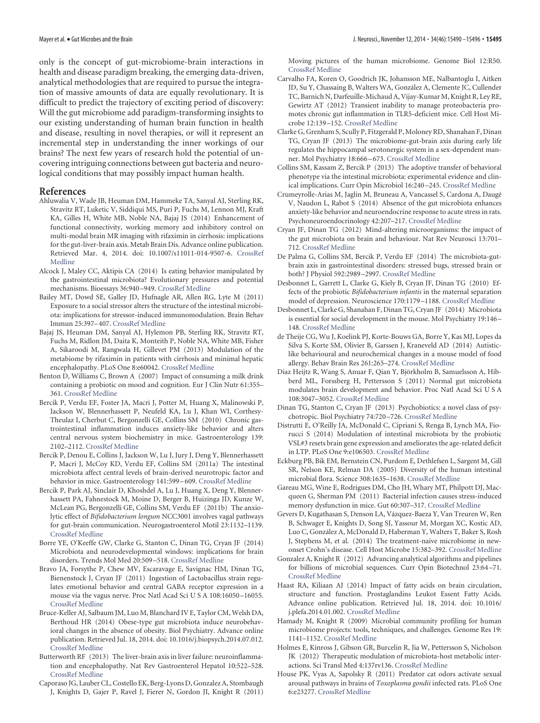only is the concept of gut-microbiome-brain interactions in health and disease paradigm breaking, the emerging data-driven, analytical methodologies that are required to pursue the integration of massive amounts of data are equally revolutionary. It is difficult to predict the trajectory of exciting period of discovery: Will the gut microbiome add paradigm-transforming insights to our existing understanding of human brain function in health and disease, resulting in novel therapies, or will it represent an incremental step in understanding the inner workings of our brains? The next few years of research hold the potential of uncovering intriguing connections between gut bacteria and neurological conditions that may possibly impact human health.

#### **References**

- <span id="page-5-25"></span>Ahluwalia V, Wade JB, Heuman DM, Hammeke TA, Sanyal AJ, Sterling RK, Stravitz RT, Luketic V, Siddiqui MS, Puri P, Fuchs M, Lennon MJ, Kraft KA, Gilles H, White MB, Noble NA, Bajaj JS (2014) Enhancement of functional connectivity, working memory and inhibitory control on multi-modal brain MR imaging with rifaximin in cirrhosis: implications for the gut-liver-brain axis. Metab Brain Dis. Advance online publication. Retrieved Mar. 4, 2014. doi: 10.1007/s11011-014-9507-6. [CrossRef](http://dx.doi.org/10.1007/s11011-014-9507-6) [Medline](http://www.ncbi.nlm.nih.gov/pubmed/24590688)
- <span id="page-5-2"></span>Alcock J, Maley CC, Aktipis CA (2014) Is eating behavior manipulated by the gastrointestinal microbiota? Evolutionary pressures and potential mechanisms. Bioessays 36:940 –949. [CrossRef](http://dx.doi.org/10.1002/bies.201400071) [Medline](http://www.ncbi.nlm.nih.gov/pubmed/25103109)
- <span id="page-5-3"></span>Bailey MT, Dowd SE, Galley JD, Hufnagle AR, Allen RG, Lyte M (2011) Exposure to a social stressor alters the structure of the intestinal microbiota: implications for stressor-induced immunomodulation. Brain Behav Immun 25:397–407. [CrossRef](http://dx.doi.org/10.1016/j.bbi.2010.10.023) [Medline](http://www.ncbi.nlm.nih.gov/pubmed/21040780)
- <span id="page-5-23"></span>Bajaj JS, Heuman DM, Sanyal AJ, Hylemon PB, Sterling RK, Stravitz RT, Fuchs M, Ridlon JM, Daita K, Monteith P, Noble NA, White MB, Fisher A, Sikaroodi M, Rangwala H, Gillevet PM (2013) Modulation of the metabiome by rifaximin in patients with cirrhosis and minimal hepatic encephalopathy. PLoS One 8:e60042. [CrossRef](http://dx.doi.org/10.1371/journal.pone.0060042) [Medline](http://www.ncbi.nlm.nih.gov/pubmed/23565181)
- <span id="page-5-26"></span>Benton D, Williams C, Brown A (2007) Impact of consuming a milk drink containing a probiotic on mood and cognition. Eur J Clin Nutr 61:355– 361. [CrossRef](http://dx.doi.org/10.1038/sj.ejcn.1602546) [Medline](http://www.ncbi.nlm.nih.gov/pubmed/17151594)
- <span id="page-5-15"></span>Bercik P, Verdu EF, Foster JA, Macri J, Potter M, Huang X, Malinowski P, Jackson W, Blennerhassett P, Neufeld KA, Lu J, Khan WI, Corthesy-Theulaz I, Cherbut C, Bergonzelli GE, Collins SM (2010) Chronic gastrointestinal inflammation induces anxiety-like behavior and alters central nervous system biochemistry in mice. Gastroenterology 139: 2102–2112. [CrossRef](http://dx.doi.org/10.1053/j.gastro.2010.06.063) [Medline](http://www.ncbi.nlm.nih.gov/pubmed/20600016)
- <span id="page-5-14"></span>Bercik P, Denou E, Collins J, Jackson W, Lu J, Jury J, Deng Y, Blennerhassett P, Macri J, McCoy KD, Verdu EF, Collins SM (2011a) The intestinal microbiota affect central levels of brain-derived neurotropic factor and behavior in mice. Gastroenterology 141:599 –609. [CrossRef](http://dx.doi.org/10.1053/j.gastro.2011.04.052) [Medline](http://www.ncbi.nlm.nih.gov/pubmed/21683077)
- <span id="page-5-8"></span>Bercik P, Park AJ, Sinclair D, Khoshdel A, Lu J, Huang X, Deng Y, Blennerhassett PA, Fahnestock M, Moine D, Berger B, Huizinga JD, Kunze W, McLean PG, Bergonzelli GE, Collins SM, Verdu EF (2011b) The anxiolytic effect of *Bifidobacterium longum* NCC3001 involves vagal pathways for gut-brain communication. Neurogastroenterol Motil 23:1132–1139. [CrossRef](http://dx.doi.org/10.1111/j.1365-2982.2011.01796.x) [Medline](http://www.ncbi.nlm.nih.gov/pubmed/21988661)
- <span id="page-5-18"></span>Borre YE, O'Keeffe GW, Clarke G, Stanton C, Dinan TG, Cryan JF (2014) Microbiota and neurodevelopmental windows: implications for brain disorders. Trends Mol Med 20:509 –518. [CrossRef](http://dx.doi.org/10.1016/j.molmed.2014.05.002) [Medline](http://www.ncbi.nlm.nih.gov/pubmed/24956966)
- <span id="page-5-13"></span>Bravo JA, Forsythe P, Chew MV, Escaravage E, Savignac HM, Dinan TG, Bienenstock J, Cryan JF (2011) Ingestion of Lactobacillus strain regulates emotional behavior and central GABA receptor expression in a mouse via the vagus nerve. Proc Natl Acad Sci U S A 108:16050 –16055. [CrossRef](http://dx.doi.org/10.1073/pnas.1102999108) [Medline](http://www.ncbi.nlm.nih.gov/pubmed/21876150)
- <span id="page-5-10"></span>Bruce-Keller AJ, Salbaum JM, Luo M, Blanchard IV E, Taylor CM, Welsh DA, Berthoud HR (2014) Obese-type gut microbiota induce neurobehavioral changes in the absence of obesity. Biol Psychiatry. Advance online publication. Retrieved Jul. 18, 2014. doi: 10.1016/j.biopsych.2014.07.012. [CrossRef](http://dx.doi.org/10.1016/j.biopsych.2014.07.012) [Medline](http://www.ncbi.nlm.nih.gov/pubmed/25173628)
- <span id="page-5-22"></span>Butterworth RF (2013) The liver-brain axis in liver failure: neuroinflammation and encephalopathy. Nat Rev Gastroenterol Hepatol 10:522–528. [CrossRef](http://dx.doi.org/10.1038/nrgastro.2013.99) [Medline](http://www.ncbi.nlm.nih.gov/pubmed/23817325)
- <span id="page-5-28"></span>Caporaso JG, Lauber CL, Costello EK, Berg-Lyons D, Gonzalez A, Stombaugh J, Knights D, Gajer P, Ravel J, Fierer N, Gordon JI, Knight R (2011)

Moving pictures of the human microbiome. Genome Biol 12:R50. [CrossRef](http://dx.doi.org/10.1186/gb-2011-12-5-r50) [Medline](http://www.ncbi.nlm.nih.gov/pubmed/21624126)

- <span id="page-5-29"></span>Carvalho FA, Koren O, Goodrich JK, Johansson ME, Nalbantoglu I, Aitken JD, Su Y, Chassaing B, Walters WA, González A, Clemente JC, Cullender TC, Barnich N, Darfeuille-Michaud A, Vijay-Kumar M, Knight R, Ley RE, Gewirtz AT (2012) Transient inability to manage proteobacteria promotes chronic gut inflammation in TLR5-deficient mice. Cell Host Microbe 12:139 –152. [CrossRef](http://dx.doi.org/10.1016/j.chom.2012.07.004) [Medline](http://www.ncbi.nlm.nih.gov/pubmed/22863420)
- <span id="page-5-6"></span>Clarke G, Grenham S, Scully P, Fitzgerald P, Moloney RD, Shanahan F, Dinan TG, Cryan JF (2013) The microbiome-gut-brain axis during early life regulates the hippocampal serotonergic system in a sex-dependent manner. Mol Psychiatry 18:666 –673. [CrossRef](http://dx.doi.org/10.1038/mp.2012.77) [Medline](http://www.ncbi.nlm.nih.gov/pubmed/22688187)
- <span id="page-5-9"></span>Collins SM, Kassam Z, Bercik P (2013) The adoptive transfer of behavioral phenotype via the intestinal microbiota: experimental evidence and clinical implications. Curr Opin Microbiol 16:240 –245. [CrossRef](http://dx.doi.org/10.1016/j.mib.2013.06.004) [Medline](http://www.ncbi.nlm.nih.gov/pubmed/23845749)
- <span id="page-5-7"></span>Crumeyrolle-Arias M, Jaglin M, Bruneau A, Vancassel S, Cardona A, Dauge´ V, Naudon L, Rabot S (2014) Absence of the gut microbiota enhances anxiety-like behavior and neuroendocrine response to acute stress in rats. Psychoneuroendocrinology 42:207–217. [CrossRef](http://dx.doi.org/10.1016/j.psyneuen.2014.01.014) [Medline](http://www.ncbi.nlm.nih.gov/pubmed/24636517)
- <span id="page-5-1"></span>Cryan JF, Dinan TG (2012) Mind-altering microorganisms: the impact of the gut microbiota on brain and behaviour. Nat Rev Neurosci 13:701– 712. [CrossRef](http://dx.doi.org/10.1038/nrn3346) [Medline](http://www.ncbi.nlm.nih.gov/pubmed/22968153)
- <span id="page-5-4"></span>De Palma G, Collins SM, Bercik P, Verdu EF (2014) The microbiota-gutbrain axis in gastrointestinal disorders: stressed bugs, stressed brain or both? J Physiol 592:2989 –2997. [CrossRef](http://dx.doi.org/10.1113/jphysiol.2014.273995) [Medline](http://www.ncbi.nlm.nih.gov/pubmed/24756641)
- <span id="page-5-12"></span>Desbonnet L, Garrett L, Clarke G, Kiely B, Cryan JF, Dinan TG (2010) Effects of the probiotic *Bifidobacterium infantis* in the maternal separation model of depression. Neuroscience 170:1179 –1188. [CrossRef](http://dx.doi.org/10.1016/j.neuroscience.2010.08.005) [Medline](http://www.ncbi.nlm.nih.gov/pubmed/20696216)
- <span id="page-5-20"></span>Desbonnet L, Clarke G, Shanahan F, Dinan TG, Cryan JF (2014) Microbiota is essential for social development in the mouse. Mol Psychiatry 19:146 – 148. [CrossRef](http://dx.doi.org/10.1038/mp.2013.65) [Medline](http://www.ncbi.nlm.nih.gov/pubmed/23689536)
- <span id="page-5-21"></span>de Theije CG, Wu J, Koelink PJ, Korte-Bouws GA, Borre Y, Kas MJ, Lopes da Silva S, Korte SM, Olivier B, Garssen J, Kraneveld AD (2014) Autisticlike behavioural and neurochemical changes in a mouse model of food allergy. Behav Brain Res 261:265–274. [CrossRef](http://dx.doi.org/10.1016/j.bbr.2013.12.008) [Medline](http://www.ncbi.nlm.nih.gov/pubmed/24333575)
- <span id="page-5-5"></span>Diaz Heijtz R, Wang S, Anuar F, Qian Y, Björkholm B, Samuelsson A, Hibberd ML, Forssberg H, Pettersson S (2011) Normal gut microbiota modulates brain development and behavior. Proc Natl Acad Sci U S A 108:3047–3052. [CrossRef](http://dx.doi.org/10.1073/pnas.1010529108) [Medline](http://www.ncbi.nlm.nih.gov/pubmed/21282636)
- <span id="page-5-11"></span>Dinan TG, Stanton C, Cryan JF (2013) Psychobiotics: a novel class of psychotropic. Biol Psychiatry 74:720 –726. [CrossRef](http://dx.doi.org/10.1016/j.biopsych.2013.05.001) [Medline](http://www.ncbi.nlm.nih.gov/pubmed/23759244)
- <span id="page-5-17"></span>Distrutti E, O'Reilly JA, McDonald C, Cipriani S, Renga B, Lynch MA, Fiorucci S (2014) Modulation of intestinal microbiota by the probiotic VSL#3 resets brain gene expression and ameliorates the age-related deficit in LTP. PLoS One 9:e106503. [CrossRef](http://dx.doi.org/10.1371/journal.pone.0106503) [Medline](http://www.ncbi.nlm.nih.gov/pubmed/25202975)
- <span id="page-5-30"></span>Eckburg PB, Bik EM, Bernstein CN, Purdom E, Dethlefsen L, Sargent M, Gill SR, Nelson KE, Relman DA (2005) Diversity of the human intestinal microbial flora. Science 308:1635–1638. [CrossRef](http://dx.doi.org/10.1126/science.1110591) [Medline](http://www.ncbi.nlm.nih.gov/pubmed/15831718)
- <span id="page-5-16"></span>Gareau MG, Wine E, Rodrigues DM, Cho JH, Whary MT, Philpott DJ, Macqueen G, Sherman PM (2011) Bacterial infection causes stress-induced memory dysfunction in mice. Gut 60:307–317. [CrossRef](http://dx.doi.org/10.1136/gut.2009.202515) [Medline](http://www.ncbi.nlm.nih.gov/pubmed/20966022)
- <span id="page-5-32"></span>Gevers D, Kugathasan S, Denson LA, Vázquez-Baeza Y, Van Treuren W, Ren B, Schwager E, Knights D, Song SJ, Yassour M, Morgan XC, Kostic AD, Luo C, González A, McDonald D, Haberman Y, Walters T, Baker S, Rosh J, Stephens M, et al. (2014) The treatment-naive microbiome in newonset Crohn's disease. Cell Host Microbe 15:382–392. [CrossRef](http://dx.doi.org/10.1016/j.chom.2014.02.005) [Medline](http://www.ncbi.nlm.nih.gov/pubmed/24629344)
- <span id="page-5-27"></span>Gonzalez A, Knight R (2012) Advancing analytical algorithms and pipelines for billions of microbial sequences. Curr Opin Biotechnol 23:64 –71. [CrossRef](http://dx.doi.org/10.1016/j.copbio.2011.11.028) [Medline](http://www.ncbi.nlm.nih.gov/pubmed/22172529)
- <span id="page-5-24"></span>Haast RA, Kiliaan AJ (2014) Impact of fatty acids on brain circulation, structure and function. Prostaglandins Leukot Essent Fatty Acids. Advance online publication. Retrieved Jul. 18, 2014. doi: 10.1016/ j.plefa.2014.01.002. [CrossRef](http://dx.doi.org/10.1016/j.plefa.2014.01.002) [Medline](http://www.ncbi.nlm.nih.gov/pubmed/24485516)
- <span id="page-5-31"></span>Hamady M, Knight R (2009) Microbial community profiling for human microbiome projects: tools, techniques, and challenges. Genome Res 19: 1141–1152. [CrossRef](http://dx.doi.org/10.1101/gr.085464.108) [Medline](http://www.ncbi.nlm.nih.gov/pubmed/19383763)
- <span id="page-5-19"></span>Holmes E, Kinross J, Gibson GR, Burcelin R, Jia W, Pettersson S, Nicholson JK (2012) Therapeutic modulation of microbiota-host metabolic interactions. Sci Transl Med 4:137rv136. [CrossRef](http://dx.doi.org/10.1126/scitranslmed.3004244) [Medline](http://www.ncbi.nlm.nih.gov/pubmed/22674556)
- <span id="page-5-0"></span>House PK, Vyas A, Sapolsky R (2011) Predator cat odors activate sexual arousal pathways in brains of *Toxoplasma gondii* infected rats. PLoS One 6:e23277. [CrossRef](http://dx.doi.org/10.1371/journal.pone.0023277) [Medline](http://www.ncbi.nlm.nih.gov/pubmed/21858053)